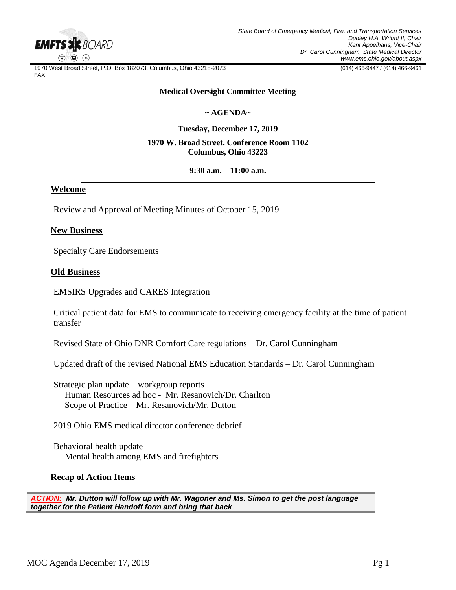

1970 West Broad Street, P.O. Box 182073, Columbus, Ohio 43218-2073 (614) 466-9447 / (614) 466-9461 FAX

### **Medical Oversight Committee Meeting**

# **~ AGENDA~**

**Tuesday, December 17, 2019**

## **1970 W. Broad Street, Conference Room 1102 Columbus, Ohio 43223**

**9:30 a.m. – 11:00 a.m.**

## **Welcome**

Review and Approval of Meeting Minutes of October 15, 2019

### **New Business**

Specialty Care Endorsements

### **Old Business**

EMSIRS Upgrades and CARES Integration

Critical patient data for EMS to communicate to receiving emergency facility at the time of patient transfer

Revised State of Ohio DNR Comfort Care regulations – Dr. Carol Cunningham

Updated draft of the revised National EMS Education Standards – Dr. Carol Cunningham

Strategic plan update – workgroup reports Human Resources ad hoc - Mr. Resanovich/Dr. Charlton Scope of Practice – Mr. Resanovich/Mr. Dutton

2019 Ohio EMS medical director conference debrief

 Behavioral health update Mental health among EMS and firefighters

### **Recap of Action Items**

*ACTION: Mr. Dutton will follow up with Mr. Wagoner and Ms. Simon to get the post language together for the Patient Handoff form and bring that back*.